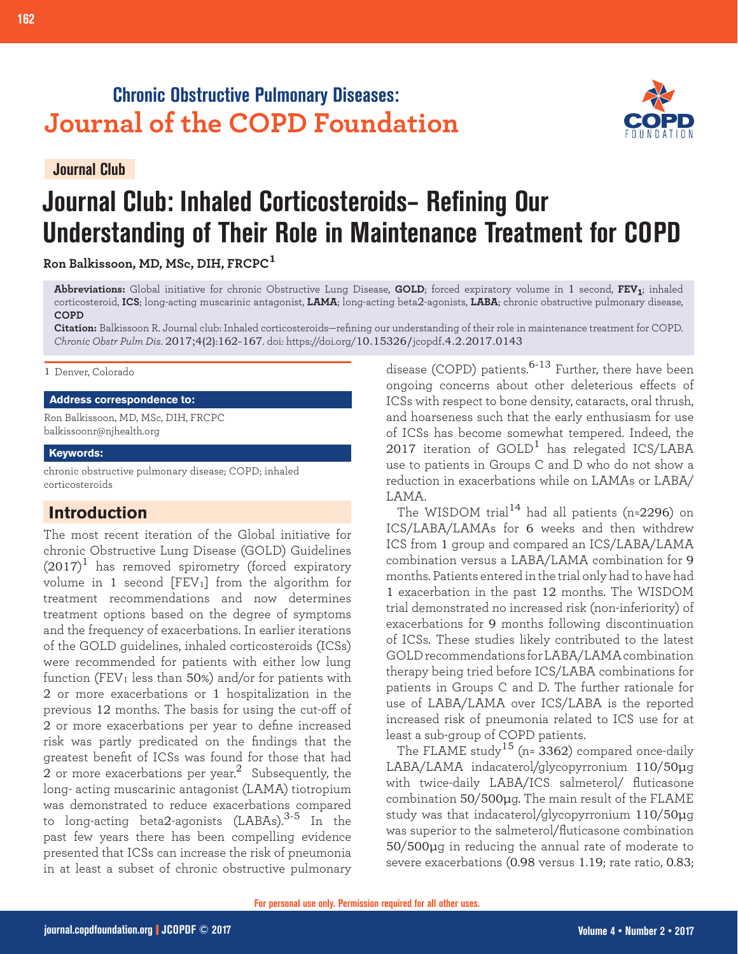# **Chronic Obstructive Pulmonary Diseases: Journal of the COPD Foundation**

**Journal Club**

**162 Journal Club: Inhaled Corticosteroids**

# **Journal Club: Inhaled Corticosteroids– Refining Our Understanding of Their Role in Maintenance Treatment for COPD**

**Ron Balkissoon, MD, MSc, DIH, FRCPC<sup>1</sup>**

**Abbreviations:** Global initiative for chronic Obstructive Lung Disease, **GOLD**; forced expiratory volume in 1 second, **FEV1**; inhaled corticosteroid, **ICS**; long-acting muscarinic antagonist, **LAMA**; long-acting beta2-agonists, **LABA**; chronic obstructive pulmonary disease, **COPD**

**Citation:** Balkissoon R. Journal club: Inhaled corticosteroids—refining our understanding of their role in maintenance treatment for COPD. *Chronic Obstr Pulm Dis*. 2017;4(2):162-167. doi: https://doi.org/10.15326/jcopdf.4.2.2017.0143

#### 1 Denver, Colorado

# **Address correspondence to:**

Ron Balkissoon, MD, MSc, DIH, FRCPC balkissoonr@njhealth.org

#### **Keywords:**

chronic obstructive pulmonary disease; COPD; inhaled corticosteroids

# **Introduction**

The most recent iteration of the Global initiative for chronic Obstructive Lung Disease (GOLD) Guidelines  $(2017)^1$  has removed spirometry (forced expiratory volume in 1 second  $[FEV<sub>1</sub>]$  from the algorithm for treatment recommendations and now determines treatment options based on the degree of symptoms and the frequency of exacerbations. In earlier iterations of the GOLD guidelines, inhaled corticosteroids (ICSs) were recommended for patients with either low lung function (FEV<sub>1</sub> less than  $50\%$ ) and/or for patients with 2 or more exacerbations or 1 hospitalization in the previous 12 months. The basis for using the cut-off of 2 or more exacerbations per year to define increased risk was partly predicated on the findings that the greatest benefit of ICSs was found for those that had 2 or more exacerbations per year.<sup>2</sup> Subsequently, the long- acting muscarinic antagonist (LAMA) tiotropium was demonstrated to reduce exacerbations compared to long-acting beta2-agonists (LABAs). $3-5$  In the past few years there has been compelling evidence presented that ICSs can increase the risk of pneumonia in at least a subset of chronic obstructive pulmonary

disease (COPD) patients.<sup>6-13</sup> Further, there have been ongoing concerns about other deleterious effects of ICSs with respect to bone density, cataracts, oral thrush, and hoarseness such that the early enthusiasm for use of ICSs has become somewhat tempered. Indeed, the 2017 iteration of  $GOLD<sup>1</sup>$  has relegated ICS/LABA use to patients in Groups C and D who do not show a reduction in exacerbations while on LAMAs or LABA/ LAMA.

The WISDOM trial<sup>14</sup> had all patients (n=2296) on ICS/LABA/LAMAs for 6 weeks and then withdrew ICS from 1 group and compared an ICS/LABA/LAMA combination versus a LABA/LAMA combination for 9 months. Patients entered in the trial only had to have had 1 exacerbation in the past 12 months. The WISDOM trial demonstrated no increased risk (non-inferiority) of exacerbations for 9 months following discontinuation of ICSs. These studies likely contributed to the latest GOLD recommendations for LABA/LAMA combination therapy being tried before ICS/LABA combinations for patients in Groups C and D. The further rationale for use of LABA/LAMA over ICS/LABA is the reported increased risk of pneumonia related to ICS use for at least a sub-group of COPD patients.

The FLAME study<sup>15</sup> (n= $3362$ ) compared once-daily LABA/LAMA indacaterol/glycopyrronium 110/50μg with twice-daily LABA/ICS salmeterol/ fluticasone combination 50/500μg. The main result of the FLAME study was that indacaterol/glycopyrronium 110/50μg was superior to the salmeterol/fluticasone combination 50/500μg in reducing the annual rate of moderate to severe exacerbations (0.98 versus 1.19; rate ratio, 0.83;

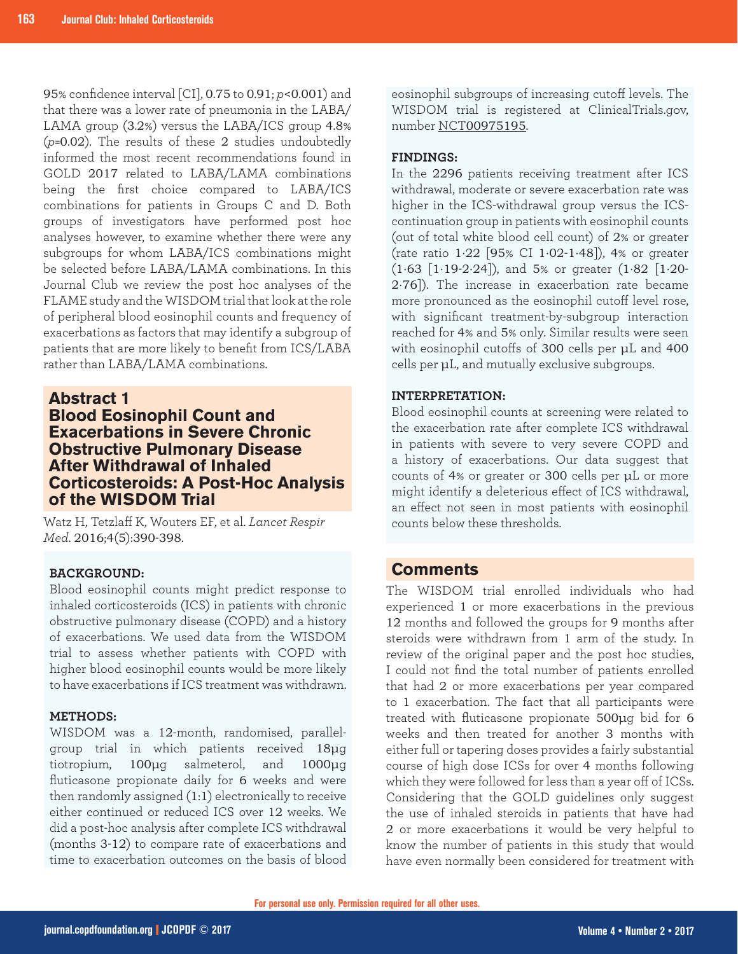95% confidence interval [CI], 0.75 to 0.91; *p*<0.001) and that there was a lower rate of pneumonia in the LABA/ LAMA group (3.2%) versus the LABA/ICS group 4.8% (*p*=0.02). The results of these 2 studies undoubtedly informed the most recent recommendations found in GOLD 2017 related to LABA/LAMA combinations being the first choice compared to LABA/ICS combinations for patients in Groups C and D. Both groups of investigators have performed post hoc analyses however, to examine whether there were any subgroups for whom LABA/ICS combinations might be selected before LABA/LAMA combinations. In this Journal Club we review the post hoc analyses of the FLAME study and the WISDOM trial that look at the role of peripheral blood eosinophil counts and frequency of exacerbations as factors that may identify a subgroup of patients that are more likely to benefit from ICS/LABA rather than LABA/LAMA combinations.

# **Abstract 1**

# **Blood Eosinophil Count and Exacerbations in Severe Chronic Obstructive Pulmonary Disease After Withdrawal of Inhaled Corticosteroids: A Post-Hoc Analysis of the WISDOM Trial**

Watz H, Tetzlaff K, Wouters EF, et al. *Lancet Respir Med*. 2016;4(5):390-398.

# **BACKGROUND:**

Blood eosinophil counts might predict response to inhaled corticosteroids (ICS) in patients with chronic obstructive pulmonary disease (COPD) and a history of exacerbations. We used data from the WISDOM trial to assess whether patients with COPD with higher blood eosinophil counts would be more likely to have exacerbations if ICS treatment was withdrawn.

# **METHODS:**

WISDOM was a 12-month, randomised, parallelgroup trial in which patients received 18μg tiotropium, 100μg salmeterol, and 1000μg fluticasone propionate daily for 6 weeks and were then randomly assigned (1:1) electronically to receive either continued or reduced ICS over 12 weeks. We did a post-hoc analysis after complete ICS withdrawal (months 3-12) to compare rate of exacerbations and time to exacerbation outcomes on the basis of blood

eosinophil subgroups of increasing cutoff levels. The WISDOM trial is registered at ClinicalTrials.gov, number NCT00975195.

# **FINDINGS:**

In the 2296 patients receiving treatment after ICS withdrawal, moderate or severe exacerbation rate was higher in the ICS-withdrawal group versus the ICScontinuation group in patients with eosinophil counts (out of total white blood cell count) of 2% or greater (rate ratio 1·22 [95% CI 1·02-1·48]), 4% or greater (1·63 [1·19-2·24]), and 5% or greater (1·82 [1·20- 2·76]). The increase in exacerbation rate became more pronounced as the eosinophil cutoff level rose, with significant treatment-by-subgroup interaction reached for 4% and 5% only. Similar results were seen with eosinophil cutoffs of 300 cells per μL and 400 cells per μL, and mutually exclusive subgroups.

# **INTERPRETATION:**

Blood eosinophil counts at screening were related to the exacerbation rate after complete ICS withdrawal in patients with severe to very severe COPD and a history of exacerbations. Our data suggest that counts of 4% or greater or 300 cells per μL or more might identify a deleterious effect of ICS withdrawal, an effect not seen in most patients with eosinophil counts below these thresholds.

# **Comments**

The WISDOM trial enrolled individuals who had experienced 1 or more exacerbations in the previous 12 months and followed the groups for 9 months after steroids were withdrawn from 1 arm of the study. In review of the original paper and the post hoc studies, I could not find the total number of patients enrolled that had 2 or more exacerbations per year compared to 1 exacerbation. The fact that all participants were treated with fluticasone propionate 500μg bid for 6 weeks and then treated for another 3 months with either full or tapering doses provides a fairly substantial course of high dose ICSs for over 4 months following which they were followed for less than a year off of ICSs. Considering that the GOLD guidelines only suggest the use of inhaled steroids in patients that have had 2 or more exacerbations it would be very helpful to know the number of patients in this study that would have even normally been considered for treatment with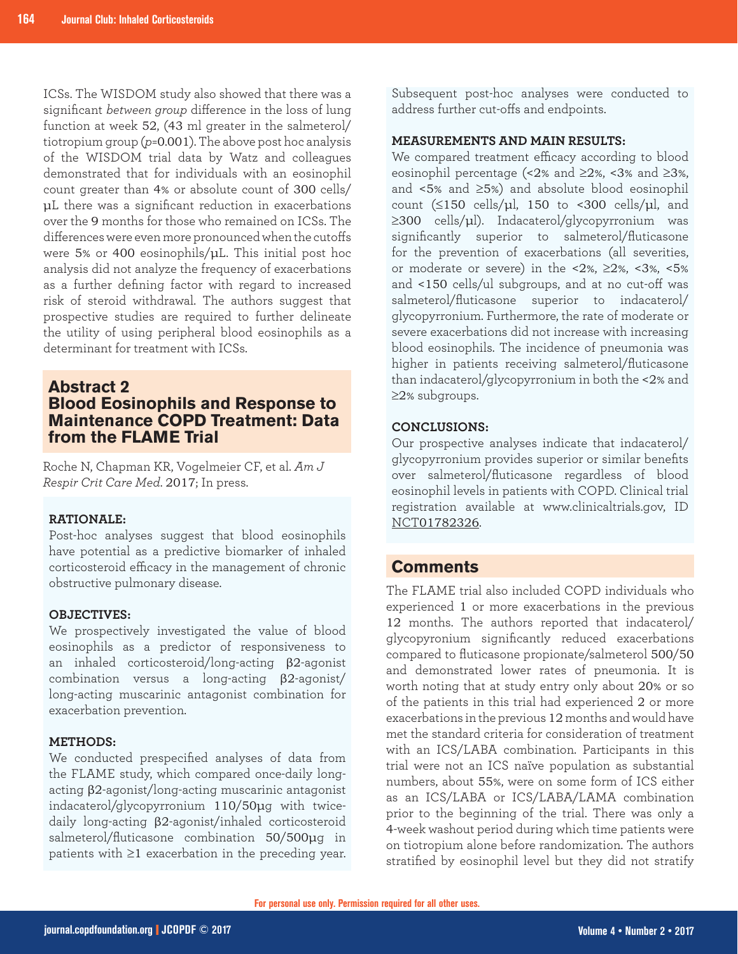ICSs. The WISDOM study also showed that there was a significant *between group* difference in the loss of lung function at week 52, (43 ml greater in the salmeterol/ tiotropium group (*p*=0.001). The above post hoc analysis of the WISDOM trial data by Watz and colleagues demonstrated that for individuals with an eosinophil count greater than 4% or absolute count of 300 cells/ μL there was a significant reduction in exacerbations over the 9 months for those who remained on ICSs. The differences were even more pronounced when the cutoffs were 5% or 400 eosinophils/μL. This initial post hoc analysis did not analyze the frequency of exacerbations as a further defining factor with regard to increased risk of steroid withdrawal. The authors suggest that prospective studies are required to further delineate the utility of using peripheral blood eosinophils as a determinant for treatment with ICSs.

# **Abstract 2 Blood Eosinophils and Response to Maintenance COPD Treatment: Data from the FLAME Trial**

Roche N, Chapman KR, Vogelmeier CF, et al. *Am J Respir Crit Care Med*. 2017; In press.

#### **RATIONALE:**

Post-hoc analyses suggest that blood eosinophils have potential as a predictive biomarker of inhaled corticosteroid efficacy in the management of chronic obstructive pulmonary disease.

#### **OBJECTIVES:**

We prospectively investigated the value of blood eosinophils as a predictor of responsiveness to an inhaled corticosteroid/long-acting β2-agonist combination versus a long-acting β2-agonist/ long-acting muscarinic antagonist combination for exacerbation prevention.

#### **METHODS:**

We conducted prespecified analyses of data from the FLAME study, which compared once-daily longacting β2-agonist/long-acting muscarinic antagonist indacaterol/glycopyrronium 110/50μg with twicedaily long-acting β2-agonist/inhaled corticosteroid salmeterol/fluticasone combination 50/500μg in patients with ≥1 exacerbation in the preceding year. Subsequent post-hoc analyses were conducted to address further cut-offs and endpoints.

# **MEASUREMENTS AND MAIN RESULTS:**

We compared treatment efficacy according to blood eosinophil percentage (<2% and ≥2%, <3% and ≥3%, and <5% and ≥5%) and absolute blood eosinophil count  $(\leq 150 \text{ cells/µl}, 150 \text{ to } < 300 \text{ cells/µl}, \text{ and }$ ≥300 cells/μl). Indacaterol/glycopyrronium was significantly superior to salmeterol/fluticasone for the prevention of exacerbations (all severities, or moderate or severe) in the <2%,  $\geq$ 2%, <3%, <5% and <150 cells/ul subgroups, and at no cut-off was salmeterol/fluticasone superior to indacaterol/ glycopyrronium. Furthermore, the rate of moderate or severe exacerbations did not increase with increasing blood eosinophils. The incidence of pneumonia was higher in patients receiving salmeterol/fluticasone than indacaterol/glycopyrronium in both the <2% and ≥2% subgroups.

#### **CONCLUSIONS:**

Our prospective analyses indicate that indacaterol/ glycopyrronium provides superior or similar benefits over salmeterol/fluticasone regardless of blood eosinophil levels in patients with COPD. Clinical trial registration available at www.clinicaltrials.gov, ID NCT01782326.

# **Comments**

The FLAME trial also included COPD individuals who experienced 1 or more exacerbations in the previous 12 months. The authors reported that indacaterol/ glycopyronium significantly reduced exacerbations compared to fluticasone propionate/salmeterol 500/50 and demonstrated lower rates of pneumonia. It is worth noting that at study entry only about 20% or so of the patients in this trial had experienced 2 or more exacerbations in the previous 12 months and would have met the standard criteria for consideration of treatment with an ICS/LABA combination. Participants in this trial were not an ICS naïve population as substantial numbers, about 55%, were on some form of ICS either as an ICS/LABA or ICS/LABA/LAMA combination prior to the beginning of the trial. There was only a 4-week washout period during which time patients were on tiotropium alone before randomization. The authors stratified by eosinophil level but they did not stratify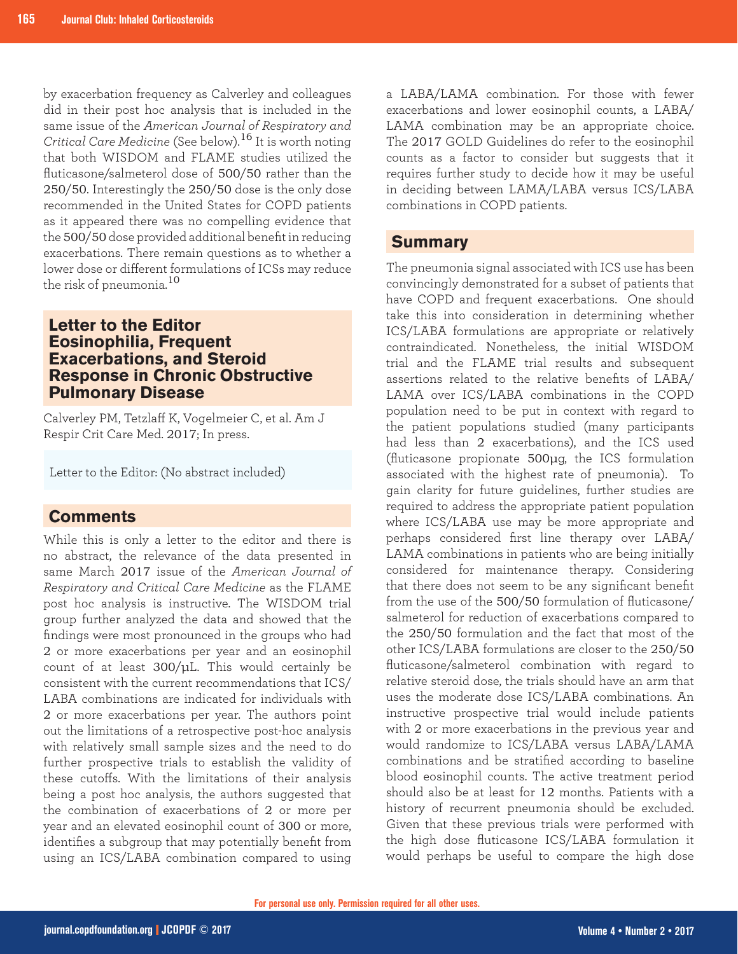by exacerbation frequency as Calverley and colleagues did in their post hoc analysis that is included in the same issue of the *American Journal of Respiratory and Critical Care Medicine* (See below).16 It is worth noting that both WISDOM and FLAME studies utilized the fluticasone/salmeterol dose of 500/50 rather than the 250/50. Interestingly the 250/50 dose is the only dose recommended in the United States for COPD patients as it appeared there was no compelling evidence that the 500/50 dose provided additional benefit in reducing exacerbations. There remain questions as to whether a lower dose or different formulations of ICSs may reduce the risk of pneumonia.<sup>10</sup>

# **Letter to the Editor Eosinophilia, Frequent Exacerbations, and Steroid Response in Chronic Obstructive Pulmonary Disease**

Calverley PM, Tetzlaff K, Vogelmeier C, et al. Am J Respir Crit Care Med. 2017; In press.

Letter to the Editor: (No abstract included)

# **Comments**

While this is only a letter to the editor and there is no abstract, the relevance of the data presented in same March 2017 issue of the *American Journal of Respiratory and Critical Care Medicine* as the FLAME post hoc analysis is instructive. The WISDOM trial group further analyzed the data and showed that the findings were most pronounced in the groups who had 2 or more exacerbations per year and an eosinophil count of at least  $300/\mu$ L. This would certainly be consistent with the current recommendations that ICS/ LABA combinations are indicated for individuals with 2 or more exacerbations per year. The authors point out the limitations of a retrospective post-hoc analysis with relatively small sample sizes and the need to do further prospective trials to establish the validity of these cutoffs. With the limitations of their analysis being a post hoc analysis, the authors suggested that the combination of exacerbations of 2 or more per year and an elevated eosinophil count of 300 or more, identifies a subgroup that may potentially benefit from using an ICS/LABA combination compared to using

a LABA/LAMA combination. For those with fewer exacerbations and lower eosinophil counts, a LABA/ LAMA combination may be an appropriate choice. The 2017 GOLD Guidelines do refer to the eosinophil counts as a factor to consider but suggests that it requires further study to decide how it may be useful in deciding between LAMA/LABA versus ICS/LABA combinations in COPD patients.

# **Summary**

The pneumonia signal associated with ICS use has been convincingly demonstrated for a subset of patients that have COPD and frequent exacerbations. One should take this into consideration in determining whether ICS/LABA formulations are appropriate or relatively contraindicated. Nonetheless, the initial WISDOM trial and the FLAME trial results and subsequent assertions related to the relative benefits of LABA/ LAMA over ICS/LABA combinations in the COPD population need to be put in context with regard to the patient populations studied (many participants had less than 2 exacerbations), and the ICS used (fluticasone propionate 500μg, the ICS formulation associated with the highest rate of pneumonia). To gain clarity for future guidelines, further studies are required to address the appropriate patient population where ICS/LABA use may be more appropriate and perhaps considered first line therapy over LABA/ LAMA combinations in patients who are being initially considered for maintenance therapy. Considering that there does not seem to be any significant benefit from the use of the 500/50 formulation of fluticasone/ salmeterol for reduction of exacerbations compared to the 250/50 formulation and the fact that most of the other ICS/LABA formulations are closer to the 250/50 fluticasone/salmeterol combination with regard to relative steroid dose, the trials should have an arm that uses the moderate dose ICS/LABA combinations. An instructive prospective trial would include patients with 2 or more exacerbations in the previous year and would randomize to ICS/LABA versus LABA/LAMA combinations and be stratified according to baseline blood eosinophil counts. The active treatment period should also be at least for 12 months. Patients with a history of recurrent pneumonia should be excluded. Given that these previous trials were performed with the high dose fluticasone ICS/LABA formulation it would perhaps be useful to compare the high dose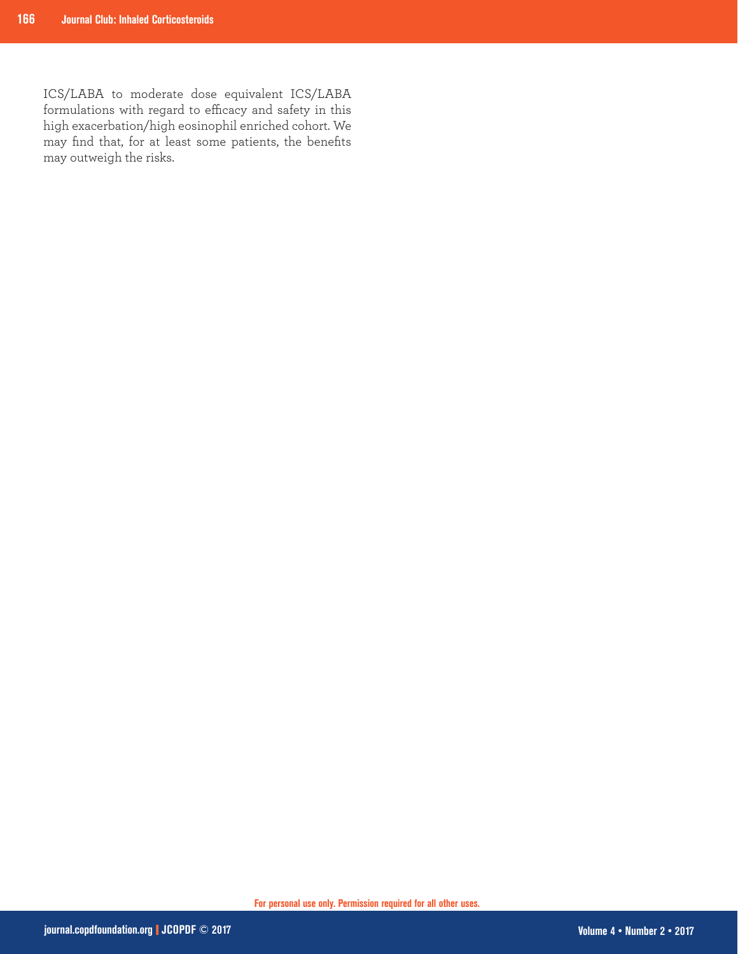ICS/LABA to moderate dose equivalent ICS/LABA formulations with regard to efficacy and safety in this high exacerbation/high eosinophil enriched cohort. We may find that, for at least some patients, the benefits may outweigh the risks.